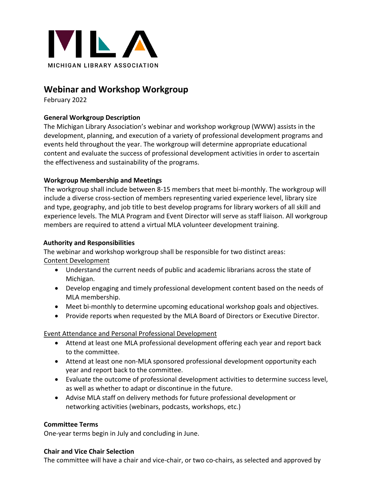

# **Webinar and Workshop Workgroup**

February 2022

# **General Workgroup Description**

The Michigan Library Association's webinar and workshop workgroup (WWW) assists in the development, planning, and execution of a variety of professional development programs and events held throughout the year. The workgroup will determine appropriate educational content and evaluate the success of professional development activities in order to ascertain the effectiveness and sustainability of the programs.

## **Workgroup Membership and Meetings**

The workgroup shall include between 8-15 members that meet bi-monthly. The workgroup will include a diverse cross-section of members representing varied experience level, library size and type, geography, and job title to best develop programs for library workers of all skill and experience levels. The MLA Program and Event Director will serve as staff liaison. All workgroup members are required to attend a virtual MLA volunteer development training.

## **Authority and Responsibilities**

The webinar and workshop workgroup shall be responsible for two distinct areas: Content Development

- Understand the current needs of public and academic librarians across the state of Michigan.
- Develop engaging and timely professional development content based on the needs of MLA membership.
- Meet bi-monthly to determine upcoming educational workshop goals and objectives.
- Provide reports when requested by the MLA Board of Directors or Executive Director.

## Event Attendance and Personal Professional Development

- Attend at least one MLA professional development offering each year and report back to the committee.
- Attend at least one non-MLA sponsored professional development opportunity each year and report back to the committee.
- Evaluate the outcome of professional development activities to determine success level, as well as whether to adapt or discontinue in the future.
- Advise MLA staff on delivery methods for future professional development or networking activities (webinars, podcasts, workshops, etc.)

## **Committee Terms**

One-year terms begin in July and concluding in June.

### **Chair and Vice Chair Selection**

The committee will have a chair and vice-chair, or two co-chairs, as selected and approved by